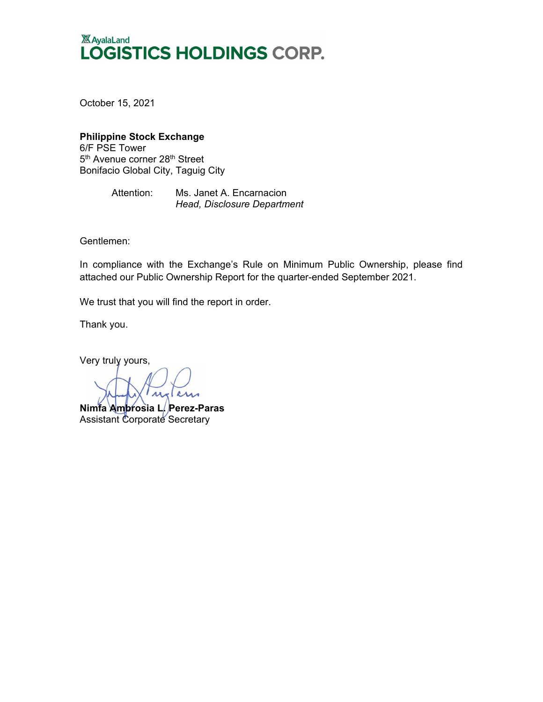# **XX** AyalaLand LOGISTICS HOLDINGS CORP.

October 15, 2021

### **Philippine Stock Exchange** 6/F PSE Tower

5<sup>th</sup> Avenue corner 28<sup>th</sup> Street Bonifacio Global City, Taguig City

> Attention: Ms. Janet A. Encarnacion *Head, Disclosure Department*

Gentlemen:

In compliance with the Exchange's Rule on Minimum Public Ownership, please find attached our Public Ownership Report for the quarter-ended September 2021.

We trust that you will find the report in order.

Thank you.

Very truly yours,

uxans

**Nimfa Ambrosia L. Perez-Paras** Assistant Corporate Secretary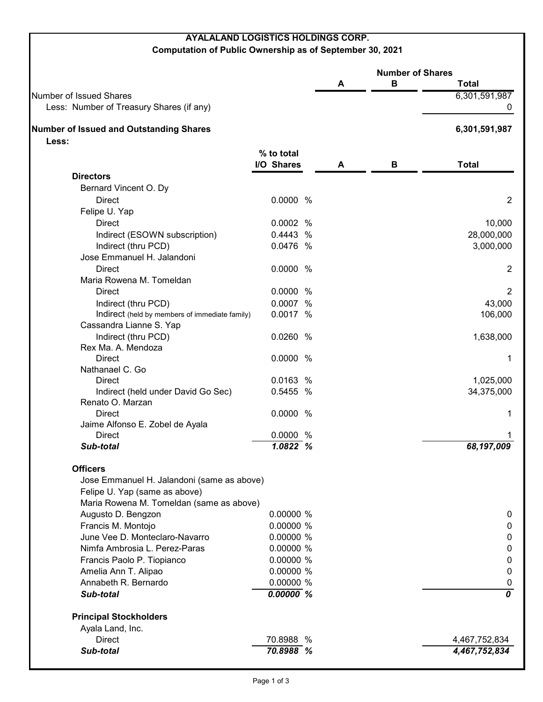## **AYALALAND LOGISTICS HOLDINGS CORP.**

### **Computation of Public Ownership as of September 30, 2021**

|                                                         |                     | <b>Number of Shares</b> |   |                  |
|---------------------------------------------------------|---------------------|-------------------------|---|------------------|
|                                                         |                     | A                       | В | <b>Total</b>     |
| Number of Issued Shares                                 |                     |                         |   | 6,301,591,987    |
| Less: Number of Treasury Shares (if any)                |                     |                         |   | 0                |
| <b>Number of Issued and Outstanding Shares</b><br>Less: |                     |                         |   | 6,301,591,987    |
|                                                         | % to total          |                         |   |                  |
|                                                         | I/O Shares          | A                       | В | <b>Total</b>     |
| <b>Directors</b>                                        |                     |                         |   |                  |
| Bernard Vincent O. Dy                                   |                     |                         |   |                  |
| <b>Direct</b>                                           | 0.0000 %            |                         |   | $\overline{2}$   |
| Felipe U. Yap                                           |                     |                         |   |                  |
| <b>Direct</b>                                           | 0.0002 %            |                         |   | 10,000           |
| Indirect (ESOWN subscription)                           | 0.4443 %            |                         |   | 28,000,000       |
| Indirect (thru PCD)                                     | 0.0476 %            |                         |   | 3,000,000        |
| Jose Emmanuel H. Jalandoni                              |                     |                         |   |                  |
| <b>Direct</b>                                           | 0.0000 %            |                         |   | $\overline{2}$   |
| Maria Rowena M. Tomeldan                                |                     |                         |   |                  |
| <b>Direct</b>                                           | 0.0000 %            |                         |   | $\overline{2}$   |
|                                                         |                     |                         |   |                  |
| Indirect (thru PCD)                                     | 0.0007 %            |                         |   | 43,000           |
| Indirect (held by members of immediate family)          | 0.0017 %            |                         |   | 106,000          |
| Cassandra Lianne S. Yap                                 |                     |                         |   |                  |
| Indirect (thru PCD)                                     | 0.0260 %            |                         |   | 1,638,000        |
| Rex Ma. A. Mendoza                                      |                     |                         |   |                  |
| Direct                                                  | 0.0000 %            |                         |   | 1                |
| Nathanael C. Go                                         |                     |                         |   |                  |
| <b>Direct</b>                                           | 0.0163 %            |                         |   | 1,025,000        |
| Indirect (held under David Go Sec)<br>Renato O. Marzan  | 0.5455 %            |                         |   | 34,375,000       |
| <b>Direct</b>                                           | 0.0000 %            |                         |   |                  |
|                                                         |                     |                         |   | 1                |
| Jaime Alfonso E. Zobel de Ayala                         |                     |                         |   |                  |
| <b>Direct</b><br>Sub-total                              | 0.0000 %<br>7.0822% |                         |   | 68,197,009       |
|                                                         |                     |                         |   |                  |
| <b>Officers</b>                                         |                     |                         |   |                  |
| Jose Emmanuel H. Jalandoni (same as above)              |                     |                         |   |                  |
| Felipe U. Yap (same as above)                           |                     |                         |   |                  |
| Maria Rowena M. Tomeldan (same as above)                |                     |                         |   |                  |
| Augusto D. Bengzon                                      | 0.00000 %           |                         |   | $\mathbf 0$      |
| Francis M. Montojo                                      | 0.00000 %           |                         |   | $\mathbf 0$      |
| June Vee D. Monteclaro-Navarro                          | 0.00000 %           |                         |   | $\mathbf 0$      |
| Nimfa Ambrosia L. Perez-Paras                           | 0.00000 %           |                         |   | $\pmb{0}$        |
| Francis Paolo P. Tiopianco                              | 0.00000 %           |                         |   | $\pmb{0}$        |
| Amelia Ann T. Alipao                                    | 0.00000 %           |                         |   | $\pmb{0}$        |
| Annabeth R. Bernardo                                    | 0.00000 %           |                         |   | $\boldsymbol{0}$ |
| Sub-total                                               | 0.00000%            |                         |   | 0                |
| <b>Principal Stockholders</b>                           |                     |                         |   |                  |
| Ayala Land, Inc.                                        |                     |                         |   |                  |
| Direct                                                  | 70.8988 %           |                         |   | 4,467,752,834    |
| Sub-total                                               | 70.8988 %           |                         |   | 4,467,752,834    |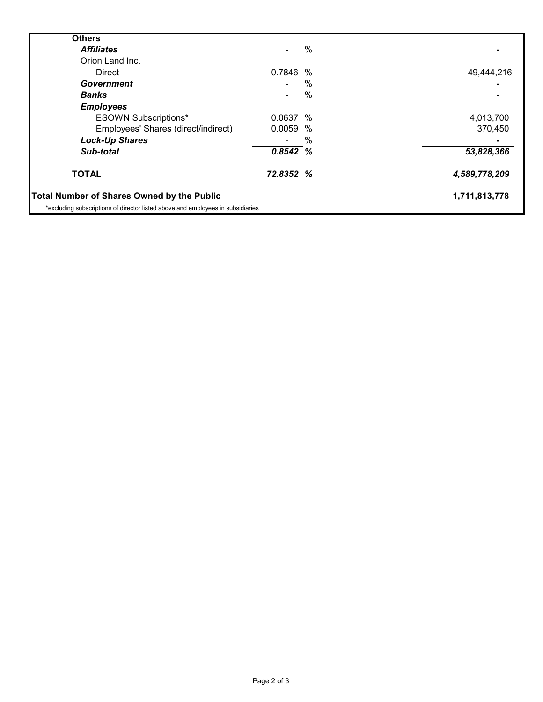| <b>Others</b>                                                                   |                |   |               |
|---------------------------------------------------------------------------------|----------------|---|---------------|
| <b>Affiliates</b>                                                               |                | % |               |
| Orion Land Inc.                                                                 |                |   |               |
| <b>Direct</b>                                                                   | 0.7846 %       |   | 49,444,216    |
| Government                                                                      |                | % |               |
| <b>Banks</b>                                                                    | $\blacksquare$ | % |               |
| <b>Employees</b>                                                                |                |   |               |
| <b>ESOWN Subscriptions*</b>                                                     | 0.0637%        |   | 4,013,700     |
| Employees' Shares (direct/indirect)                                             | 0.0059 %       |   | 370,450       |
| <b>Lock-Up Shares</b>                                                           |                | % |               |
| Sub-total                                                                       | $0.8542\%$     |   | 53,828,366    |
| <b>TOTAL</b>                                                                    | 72.8352 %      |   | 4,589,778,209 |
| <b>Total Number of Shares Owned by the Public</b>                               |                |   | 1,711,813,778 |
| *excluding subscriptions of director listed above and employees in subsidiaries |                |   |               |